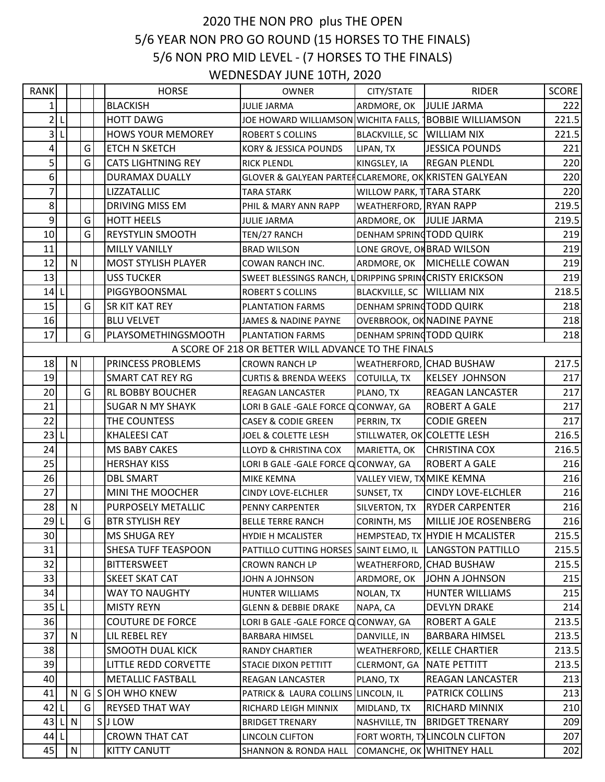## 2020 THE NON PRO plus THE OPEN 5/6 YEAR NON PRO GO ROUND (15 HORSES TO THE FINALS) 5/6 NON PRO MID LEVEL - (7 HORSES TO THE FINALS) WEDNESDAY JUNE 10TH, 2020

| <b>RANK</b>     |              |   | <b>HORSE</b>               | <b>OWNER</b>                                             | CITY/STATE                   | <b>RIDER</b>                      | SCORE |
|-----------------|--------------|---|----------------------------|----------------------------------------------------------|------------------------------|-----------------------------------|-------|
| $\mathbf{1}$    |              |   | <b>BLACKISH</b>            | <b>JULIE JARMA</b>                                       | ARDMORE, OK                  | <b>JULIE JARMA</b>                | 222   |
| $2\vert$        |              |   | <b>HOTT DAWG</b>           | JOE HOWARD WILLIAMSON WICHITA FALLS, TBOBBIE WILLIAMSON  |                              |                                   | 221.5 |
| $\mathsf{3}$    |              |   | <b>HOWS YOUR MEMOREY</b>   | <b>ROBERT S COLLINS</b>                                  | BLACKVILLE, SC   WILLIAM NIX |                                   | 221.5 |
| $\overline{4}$  |              | G | ETCH N SKETCH              | <b>KORY &amp; JESSICA POUNDS</b>                         | LIPAN, TX                    | <b>JESSICA POUNDS</b>             | 221   |
| $\mathsf{S}$    |              | G | <b>CATS LIGHTNING REY</b>  | <b>RICK PLENDL</b>                                       | KINGSLEY, IA                 | <b>REGAN PLENDL</b>               | 220   |
| 6               |              |   | <b>DURAMAX DUALLY</b>      | GLOVER & GALYEAN PARTER CLAREMORE, OK KRISTEN GALYEAN    |                              |                                   | 220   |
| $\overline{7}$  |              |   | LIZZATALLIC                | TARA STARK                                               | WILLOW PARK, TTARA STARK     |                                   | 220   |
| $8\overline{)}$ |              |   | DRIVING MISS EM            | PHIL & MARY ANN RAPP                                     | WEATHERFORD, RYAN RAPP       |                                   | 219.5 |
| 9               |              | G | <b>HOTT HEELS</b>          | JULIE JARMA                                              | ARDMORE, OK JULIE JARMA      |                                   | 219.5 |
| 10              |              | G | <b>REYSTYLIN SMOOTH</b>    | TEN/27 RANCH                                             | DENHAM SPRING TODD QUIRK     |                                   | 219   |
| 11              |              |   | <b>MILLY VANILLY</b>       | <b>BRAD WILSON</b>                                       | LONE GROVE, ON BRAD WILSON   |                                   | 219   |
| 12              | $\mathsf{N}$ |   | <b>MOST STYLISH PLAYER</b> | COWAN RANCH INC.                                         | ARDMORE, OK                  | MICHELLE COWAN                    | 219   |
| 13              |              |   | <b>USS TUCKER</b>          | SWEET BLESSINGS RANCH, LORIPPING SPRINCRISTY ERICKSON    |                              |                                   | 219   |
| 14              |              |   | PIGGYBOONSMAL              | <b>ROBERT S COLLINS</b>                                  | BLACKVILLE, SC   WILLIAM NIX |                                   | 218.5 |
| 15              |              | G | SR KIT KAT REY             | PLANTATION FARMS                                         | DENHAM SPRING TODD QUIRK     |                                   | 218   |
| 16              |              |   | <b>BLU VELVET</b>          | <b>JAMES &amp; NADINE PAYNE</b>                          |                              | <b>OVERBROOK, OK NADINE PAYNE</b> | 218   |
| 17              |              | G | PLAYSOMETHINGSMOOTH        | PLANTATION FARMS                                         | DENHAM SPRING TODD QUIRK     |                                   | 218   |
|                 |              |   |                            | A SCORE OF 218 OR BETTER WILL ADVANCE TO THE FINALS      |                              |                                   |       |
| 18              | N            |   | PRINCESS PROBLEMS          | <b>CROWN RANCH LP</b>                                    |                              | WEATHERFORD, CHAD BUSHAW          | 217.5 |
| 19              |              |   | <b>SMART CAT REY RG</b>    | <b>CURTIS &amp; BRENDA WEEKS</b>                         | <b>COTUILLA, TX</b>          | <b>KELSEY JOHNSON</b>             | 217   |
| 20              |              | G | <b>RL BOBBY BOUCHER</b>    | <b>REAGAN LANCASTER</b>                                  | PLANO, TX                    | <b>REAGAN LANCASTER</b>           | 217   |
| 21              |              |   | <b>SUGAR N MY SHAYK</b>    | LORI B GALE - GALE FORCE Q CONWAY, GA                    |                              | <b>ROBERT A GALE</b>              | 217   |
| 22              |              |   | THE COUNTESS               | <b>CASEY &amp; CODIE GREEN</b>                           | PERRIN, TX                   | <b>CODIE GREEN</b>                | 217   |
| 23              |              |   | <b>KHALEESI CAT</b>        | JOEL & COLETTE LESH                                      | STILLWATER, OK COLETTE LESH  |                                   | 216.5 |
| 24              |              |   | MS BABY CAKES              | LLOYD & CHRISTINA COX                                    | MARIETTA, OK                 | <b>CHRISTINA COX</b>              | 216.5 |
| 25              |              |   | <b>HERSHAY KISS</b>        | LORI B GALE -GALE FORCE Q CONWAY, GA                     |                              | <b>ROBERT A GALE</b>              | 216   |
| 26              |              |   | <b>DBL SMART</b>           | <b>MIKE KEMNA</b>                                        | VALLEY VIEW, TX MIKE KEMNA   |                                   | 216   |
| 27              |              |   | MINI THE MOOCHER           | <b>CINDY LOVE-ELCHLER</b>                                | SUNSET, TX                   | <b>CINDY LOVE-ELCHLER</b>         | 216   |
| 28              | $\mathsf{N}$ |   | PURPOSELY METALLIC         | PENNY CARPENTER                                          | SILVERTON, TX                | <b>RYDER CARPENTER</b>            | 216   |
| 29L             |              | G | <b>BTR STYLISH REY</b>     | <b>BELLE TERRE RANCH</b>                                 | CORINTH, MS                  | MILLIE JOE ROSENBERG              | 216   |
| 30              |              |   | MS SHUGA REY               | <b>HYDIE H MCALISTER</b>                                 |                              | HEMPSTEAD, TX HYDIE H MCALISTER   | 215.5 |
| 31              |              |   | <b>SHESA TUFF TEASPOON</b> | PATTILLO CUTTING HORSES SAINT ELMO, IL LANGSTON PATTILLO |                              |                                   | 215.5 |
| 32              |              |   | <b>BITTERSWEET</b>         | <b>CROWN RANCH LP</b>                                    |                              | WEATHERFORD, CHAD BUSHAW          | 215.5 |
| 33              |              |   | SKEET SKAT CAT             | <b>JOHN A JOHNSON</b>                                    | ARDMORE, OK                  | JOHN A JOHNSON                    | 215   |
| 34              |              |   | WAY TO NAUGHTY             | <b>HUNTER WILLIAMS</b>                                   | NOLAN, TX                    | <b>HUNTER WILLIAMS</b>            | 215   |
| 35 L            |              |   | <b>MISTY REYN</b>          | <b>GLENN &amp; DEBBIE DRAKE</b>                          | NAPA, CA                     | <b>DEVLYN DRAKE</b>               | 214   |
| 36              |              |   | <b>COUTURE DE FORCE</b>    | LORI B GALE - GALE FORCE Q CONWAY, GA                    |                              | <b>ROBERT A GALE</b>              | 213.5 |
| 37              | ${\sf N}$    |   | LIL REBEL REY              | BARBARA HIMSEL                                           | DANVILLE, IN                 | <b>BARBARA HIMSEL</b>             | 213.5 |
| 38              |              |   | <b>SMOOTH DUAL KICK</b>    | <b>RANDY CHARTIER</b>                                    | WEATHERFORD,                 | <b>KELLE CHARTIER</b>             | 213.5 |
| 39              |              |   | LITTLE REDD CORVETTE       | STACIE DIXON PETTITT                                     | CLERMONT, GA                 | <b>NATE PETTITT</b>               | 213.5 |
| 40              |              |   | METALLIC FASTBALL          | REAGAN LANCASTER                                         | PLANO, TX                    | <b>REAGAN LANCASTER</b>           | 213   |
| 41              |              |   | N G S OH WHO KNEW          | PATRICK & LAURA COLLINS LINCOLN, IL                      |                              | <b>PATRICK COLLINS</b>            | 213   |
| 42              |              | G | <b>REYSED THAT WAY</b>     | RICHARD LEIGH MINNIX                                     | MIDLAND, TX                  | RICHARD MINNIX                    | 210   |
| $43$  L         | $\mathsf{N}$ |   | <b>SJLOW</b>               | <b>BRIDGET TRENARY</b>                                   | NASHVILLE, TN                | <b>BRIDGET TRENARY</b>            | 209   |
| 44   1          |              |   | <b>CROWN THAT CAT</b>      | LINCOLN CLIFTON                                          |                              | FORT WORTH, TXLINCOLN CLIFTON     | 207   |
| 45              | N            |   | <b>KITTY CANUTT</b>        | <b>SHANNON &amp; RONDA HALL</b>                          |                              | COMANCHE, OK WHITNEY HALL         | 202   |